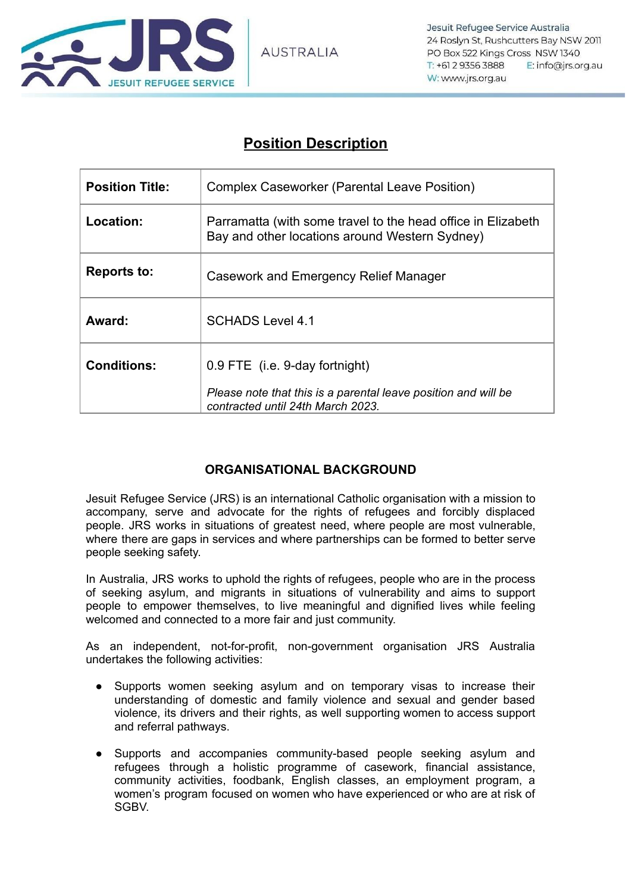

## **Position Description**

| <b>Position Title:</b> | <b>Complex Caseworker (Parental Leave Position)</b>                                                                                   |
|------------------------|---------------------------------------------------------------------------------------------------------------------------------------|
| Location:              | Parramatta (with some travel to the head office in Elizabeth<br>Bay and other locations around Western Sydney)                        |
| <b>Reports to:</b>     | Casework and Emergency Relief Manager                                                                                                 |
| Award:                 | <b>SCHADS Level 4.1</b>                                                                                                               |
| <b>Conditions:</b>     | 0.9 FTE (i.e. 9-day fortnight)<br>Please note that this is a parental leave position and will be<br>contracted until 24th March 2023. |

## **ORGANISATIONAL BACKGROUND**

Jesuit Refugee Service (JRS) is an international Catholic organisation with a mission to accompany, serve and advocate for the rights of refugees and forcibly displaced people. JRS works in situations of greatest need, where people are most vulnerable, where there are gaps in services and where partnerships can be formed to better serve people seeking safety.

In Australia, JRS works to uphold the rights of refugees, people who are in the process of seeking asylum, and migrants in situations of vulnerability and aims to support people to empower themselves, to live meaningful and dignified lives while feeling welcomed and connected to a more fair and just community.

As an independent, not-for-profit, non-government organisation JRS Australia undertakes the following activities:

- Supports women seeking asylum and on temporary visas to increase their understanding of domestic and family violence and sexual and gender based violence, its drivers and their rights, as well supporting women to access support and referral pathways.
- Supports and accompanies community-based people seeking asylum and refugees through a holistic programme of casework, financial assistance, community activities, foodbank, English classes, an employment program, a women's program focused on women who have experienced or who are at risk of SGBV.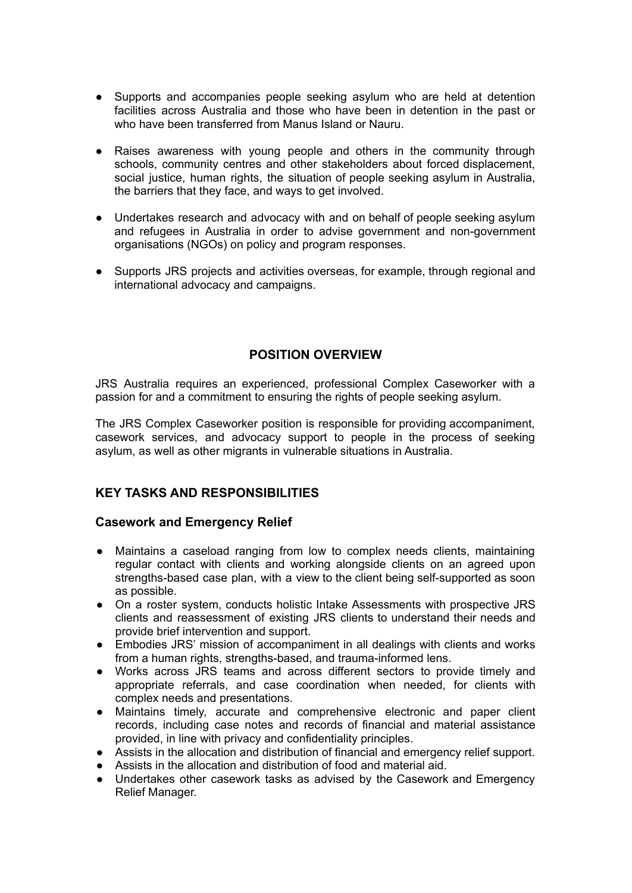- Supports and accompanies people seeking asylum who are held at detention facilities across Australia and those who have been in detention in the past or who have been transferred from Manus Island or Nauru.
- Raises awareness with young people and others in the community through schools, community centres and other stakeholders about forced displacement, social justice, human rights, the situation of people seeking asylum in Australia, the barriers that they face, and ways to get involved.
- Undertakes research and advocacy with and on behalf of people seeking asylum and refugees in Australia in order to advise government and non-government organisations (NGOs) on policy and program responses.
- Supports JRS projects and activities overseas, for example, through regional and international advocacy and campaigns.

## **POSITION OVERVIEW**

JRS Australia requires an experienced, professional Complex Caseworker with a passion for and a commitment to ensuring the rights of people seeking asylum.

The JRS Complex Caseworker position is responsible for providing accompaniment, casework services, and advocacy support to people in the process of seeking asylum, as well as other migrants in vulnerable situations in Australia.

## **KEY TASKS AND RESPONSIBILITIES**

#### **Casework and Emergency Relief**

- Maintains a caseload ranging from low to complex needs clients, maintaining regular contact with clients and working alongside clients on an agreed upon strengths-based case plan, with a view to the client being self-supported as soon as possible.
- On a roster system, conducts holistic Intake Assessments with prospective JRS clients and reassessment of existing JRS clients to understand their needs and provide brief intervention and support.
- Embodies JRS' mission of accompaniment in all dealings with clients and works from a human rights, strengths-based, and trauma-informed lens.
- Works across JRS teams and across different sectors to provide timely and appropriate referrals, and case coordination when needed, for clients with complex needs and presentations.
- Maintains timely, accurate and comprehensive electronic and paper client records, including case notes and records of financial and material assistance provided, in line with privacy and confidentiality principles.
- Assists in the allocation and distribution of financial and emergency relief support.
- Assists in the allocation and distribution of food and material aid.
- Undertakes other casework tasks as advised by the Casework and Emergency Relief Manager.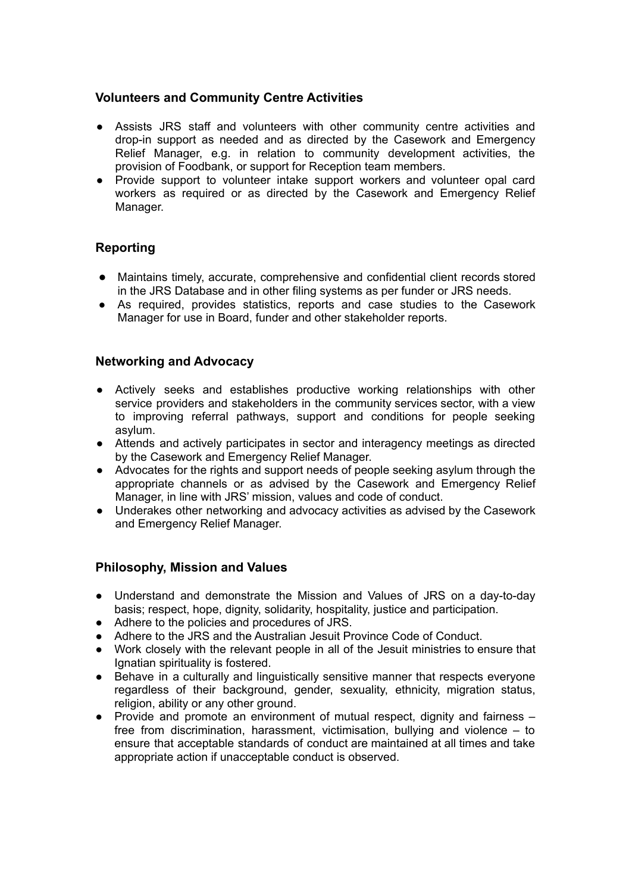#### **Volunteers and Community Centre Activities**

- Assists JRS staff and volunteers with other community centre activities and drop-in support as needed and as directed by the Casework and Emergency Relief Manager, e.g. in relation to community development activities, the provision of Foodbank, or support for Reception team members.
- Provide support to volunteer intake support workers and volunteer opal card workers as required or as directed by the Casework and Emergency Relief Manager.

## **Reporting**

- Maintains timely, accurate, comprehensive and confidential client records stored in the JRS Database and in other filing systems as per funder or JRS needs.
- As required, provides statistics, reports and case studies to the Casework Manager for use in Board, funder and other stakeholder reports.

#### **Networking and Advocacy**

- Actively seeks and establishes productive working relationships with other service providers and stakeholders in the community services sector, with a view to improving referral pathways, support and conditions for people seeking asylum.
- Attends and actively participates in sector and interagency meetings as directed by the Casework and Emergency Relief Manager.
- Advocates for the rights and support needs of people seeking asylum through the appropriate channels or as advised by the Casework and Emergency Relief Manager, in line with JRS' mission, values and code of conduct.
- Underakes other networking and advocacy activities as advised by the Casework and Emergency Relief Manager.

## **Philosophy, Mission and Values**

- Understand and demonstrate the Mission and Values of JRS on a day-to-day basis; respect, hope, dignity, solidarity, hospitality, justice and participation.
- Adhere to the policies and procedures of JRS.<br>● Adhere to the JRS and the Australian Jesuit Pr
- Adhere to the JRS and the Australian Jesuit Province Code of Conduct.
- Work closely with the relevant people in all of the Jesuit ministries to ensure that Ignatian spirituality is fostered.
- Behave in a culturally and linguistically sensitive manner that respects everyone regardless of their background, gender, sexuality, ethnicity, migration status, religion, ability or any other ground.
- $\bullet$  Provide and promote an environment of mutual respect, dignity and fairness  $$ free from discrimination, harassment, victimisation, bullying and violence – to ensure that acceptable standards of conduct are maintained at all times and take appropriate action if unacceptable conduct is observed.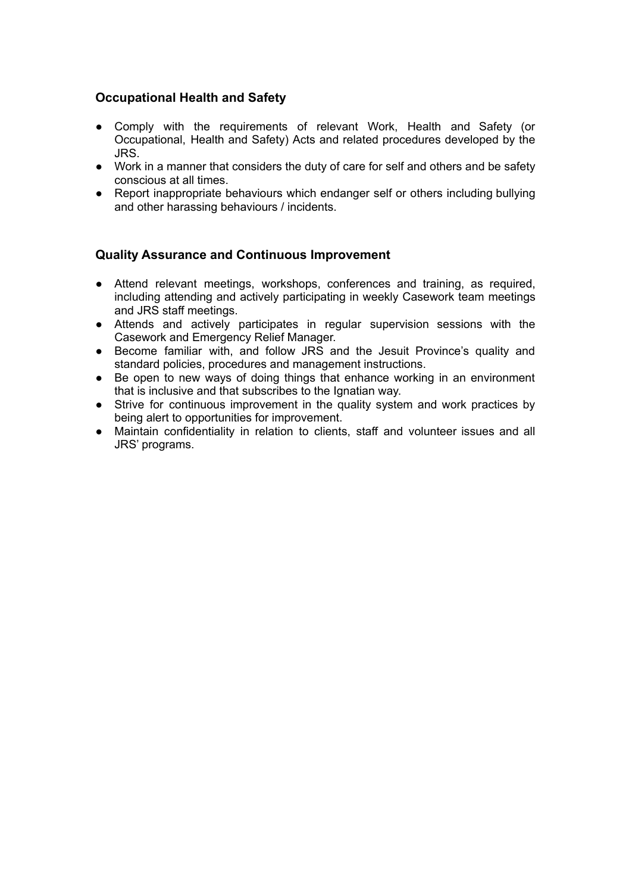## **Occupational Health and Safety**

- Comply with the requirements of relevant Work, Health and Safety (or Occupational, Health and Safety) Acts and related procedures developed by the JRS.
- Work in a manner that considers the duty of care for self and others and be safety conscious at all times.
- Report inappropriate behaviours which endanger self or others including bullying and other harassing behaviours / incidents.

## **Quality Assurance and Continuous Improvement**

- Attend relevant meetings, workshops, conferences and training, as required, including attending and actively participating in weekly Casework team meetings and JRS staff meetings.
- Attends and actively participates in regular supervision sessions with the Casework and Emergency Relief Manager.
- Become familiar with, and follow JRS and the Jesuit Province's quality and standard policies, procedures and management instructions.
- Be open to new ways of doing things that enhance working in an environment that is inclusive and that subscribes to the Ignatian way.
- Strive for continuous improvement in the quality system and work practices by being alert to opportunities for improvement.
- Maintain confidentiality in relation to clients, staff and volunteer issues and all JRS' programs.